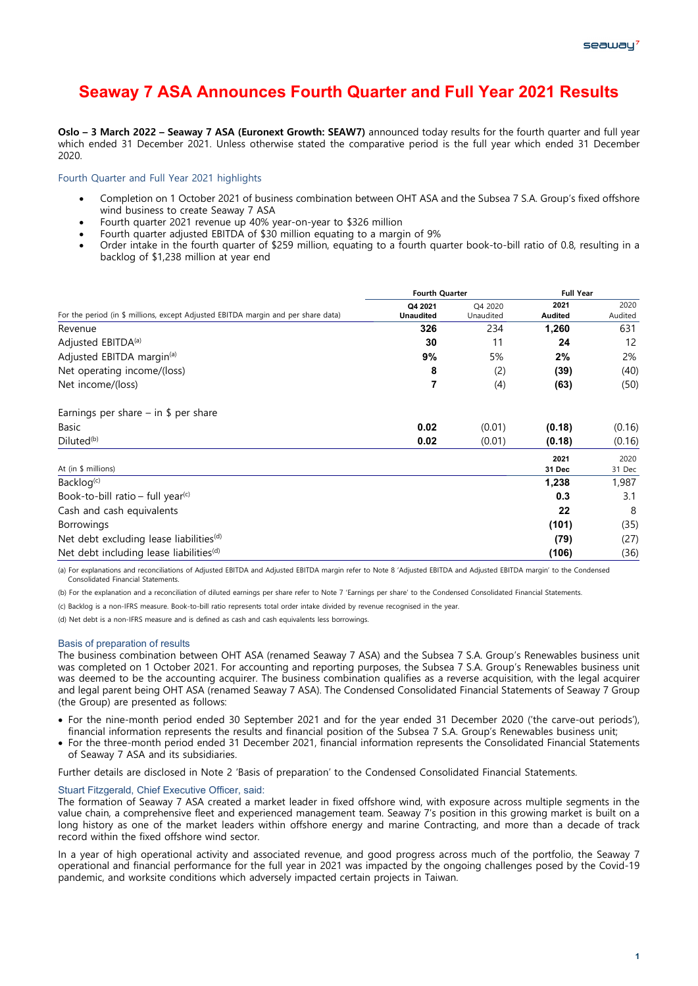# **Seaway 7 ASA Announces Fourth Quarter and Full Year 2021 Results**

**Oslo – 3 March 2022 – Seaway 7 ASA (Euronext Growth: SEAW7)** announced today results for the fourth quarter and full year which ended 31 December 2021. Unless otherwise stated the comparative period is the full year which ended 31 December 2020.

# Fourth Quarter and Full Year 2021 highlights

- Completion on 1 October 2021 of business combination between OHT ASA and the Subsea 7 S.A. Group's fixed offshore wind business to create Seaway 7 ASA
- Fourth quarter 2021 revenue up 40% year-on-year to \$326 million
- Fourth quarter adjusted EBITDA of \$30 million equating to a margin of 9%
- Order intake in the fourth quarter of \$259 million, equating to a fourth quarter book-to-bill ratio of 0.8, resulting in a backlog of \$1,238 million at year end

|                                                                                   | <b>Fourth Quarter</b>       |                      | <b>Full Year</b>       |                 |
|-----------------------------------------------------------------------------------|-----------------------------|----------------------|------------------------|-----------------|
| For the period (in \$ millions, except Adjusted EBITDA margin and per share data) | Q4 2021<br><b>Unaudited</b> | Q4 2020<br>Unaudited | 2021<br><b>Audited</b> | 2020<br>Audited |
| Revenue                                                                           | 326                         | 234                  | 1,260                  | 631             |
| Adjusted EBITDA <sup>(a)</sup>                                                    | 30                          | 11                   | 24                     | 12              |
| Adjusted EBITDA margin <sup>(a)</sup>                                             | 9%                          | 5%                   | 2%                     | 2%              |
| Net operating income/(loss)                                                       | 8                           | (2)                  | (39)                   | (40)            |
| Net income/(loss)                                                                 | $\overline{7}$              | (4)                  | (63)                   | (50)            |
| Earnings per share $-$ in \$ per share                                            |                             |                      |                        |                 |
| Basic                                                                             | 0.02                        | (0.01)               | (0.18)                 | (0.16)          |
| $Diluted^{(b)}$                                                                   | 0.02                        | (0.01)               | (0.18)                 | (0.16)          |
| At (in \$ millions)                                                               |                             |                      | 2021<br>31 Dec         | 2020<br>31 Dec  |
| Backlog <sup>(c)</sup>                                                            |                             |                      | 1,238                  | 1,987           |
| Book-to-bill ratio – full year <sup>(c)</sup>                                     |                             |                      | 0.3                    | 3.1             |
| Cash and cash equivalents                                                         |                             |                      | 22                     | 8               |
| <b>Borrowings</b>                                                                 |                             |                      | (101)                  | (35)            |
| Net debt excluding lease liabilities <sup>(d)</sup>                               |                             |                      | (79)                   | (27)            |
| Net debt including lease liabilities <sup>(d)</sup>                               |                             |                      | (106)                  | (36)            |

(a) For explanations and reconciliations of Adjusted EBITDA and Adjusted EBITDA margin refer to Note 8 'Adjusted EBITDA and Adjusted EBITDA margin' to the Condensed Consolidated Financial Statements.

(b) For the explanation and a reconciliation of diluted earnings per share refer to Note 7 'Farnings per share' to the Condensed Consolidated Financial Statements.

(c) Backlog is a non-IFRS measure. Book-to-bill ratio represents total order intake divided by revenue recognised in the year.

(d) Net debt is a non-IFRS measure and is defined as cash and cash equivalents less borrowings.

#### Basis of preparation of results

The business combination between OHT ASA (renamed Seaway 7 ASA) and the Subsea 7 S.A. Group's Renewables business unit was completed on 1 October 2021. For accounting and reporting purposes, the Subsea 7 S.A. Group's Renewables business unit was deemed to be the accounting acquirer. The business combination qualifies as a reverse acquisition, with the legal acquirer and legal parent being OHT ASA (renamed Seaway 7 ASA). The Condensed Consolidated Financial Statements of Seaway 7 Group (the Group) are presented as follows:

- For the nine-month period ended 30 September 2021 and for the year ended 31 December 2020 ('the carve-out periods'), financial information represents the results and financial position of the Subsea 7 S.A. Group's Renewables business unit;
- For the three-month period ended 31 December 2021, financial information represents the Consolidated Financial Statements of Seaway 7 ASA and its subsidiaries.

Further details are disclosed in Note 2 'Basis of preparation' to the Condensed Consolidated Financial Statements.

#### Stuart Fitzgerald, Chief Executive Officer, said:

The formation of Seaway 7 ASA created a market leader in fixed offshore wind, with exposure across multiple segments in the value chain, a comprehensive fleet and experienced management team. Seaway 7's position in this growing market is built on a long history as one of the market leaders within offshore energy and marine Contracting, and more than a decade of track record within the fixed offshore wind sector.

In a year of high operational activity and associated revenue, and good progress across much of the portfolio, the Seaway 7 operational and financial performance for the full year in 2021 was impacted by the ongoing challenges posed by the Covid-19 pandemic, and worksite conditions which adversely impacted certain projects in Taiwan.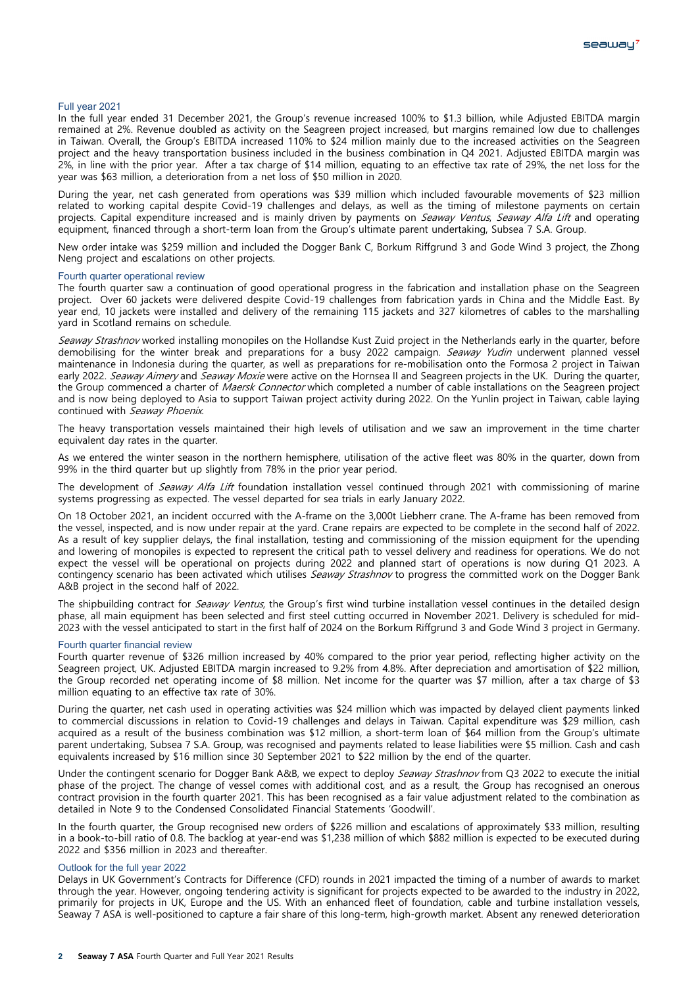#### Full year 2021

In the full year ended 31 December 2021, the Group's revenue increased 100% to \$1.3 billion, while Adjusted EBITDA margin remained at 2%. Revenue doubled as activity on the Seagreen project increased, but margins remained low due to challenges in Taiwan. Overall, the Group's EBITDA increased 110% to \$24 million mainly due to the increased activities on the Seagreen project and the heavy transportation business included in the business combination in Q4 2021. Adjusted EBITDA margin was 2%, in line with the prior year. After a tax charge of \$14 million, equating to an effective tax rate of 29%, the net loss for the year was \$63 million, a deterioration from a net loss of \$50 million in 2020.

During the year, net cash generated from operations was \$39 million which included favourable movements of \$23 million related to working capital despite Covid-19 challenges and delays, as well as the timing of milestone payments on certain projects. Capital expenditure increased and is mainly driven by payments on Seaway Ventus, Seaway Alfa Lift and operating equipment, financed through a short-term loan from the Group's ultimate parent undertaking, Subsea 7 S.A. Group.

New order intake was \$259 million and included the Dogger Bank C, Borkum Riffgrund 3 and Gode Wind 3 project, the Zhong Neng project and escalations on other projects.

#### Fourth quarter operational review

The fourth quarter saw a continuation of good operational progress in the fabrication and installation phase on the Seagreen project. Over 60 jackets were delivered despite Covid-19 challenges from fabrication yards in China and the Middle East. By year end, 10 jackets were installed and delivery of the remaining 115 jackets and 327 kilometres of cables to the marshalling yard in Scotland remains on schedule.

Seaway Strashnov worked installing monopiles on the Hollandse Kust Zuid project in the Netherlands early in the quarter, before demobilising for the winter break and preparations for a busy 2022 campaign. Seaway Yudin underwent planned vessel maintenance in Indonesia during the quarter, as well as preparations for re-mobilisation onto the Formosa 2 project in Taiwan early 2022. Seaway Aimery and Seaway Moxie were active on the Hornsea II and Seagreen projects in the UK. During the quarter, the Group commenced a charter of Maersk Connector which completed a number of cable installations on the Seagreen project and is now being deployed to Asia to support Taiwan project activity during 2022. On the Yunlin project in Taiwan, cable laying continued with Seaway Phoenix.

The heavy transportation vessels maintained their high levels of utilisation and we saw an improvement in the time charter equivalent day rates in the quarter.

As we entered the winter season in the northern hemisphere, utilisation of the active fleet was 80% in the quarter, down from 99% in the third quarter but up slightly from 78% in the prior year period.

The development of Seaway Alfa Lift foundation installation vessel continued through 2021 with commissioning of marine systems progressing as expected. The vessel departed for sea trials in early January 2022.

On 18 October 2021, an incident occurred with the A-frame on the 3,000t Liebherr crane. The A-frame has been removed from the vessel, inspected, and is now under repair at the yard. Crane repairs are expected to be complete in the second half of 2022. As a result of key supplier delays, the final installation, testing and commissioning of the mission equipment for the upending and lowering of monopiles is expected to represent the critical path to vessel delivery and readiness for operations. We do not expect the vessel will be operational on projects during 2022 and planned start of operations is now during Q1 2023. A contingency scenario has been activated which utilises Seaway Strashnov to progress the committed work on the Dogger Bank A&B project in the second half of 2022.

The shipbuilding contract for Seaway Ventus, the Group's first wind turbine installation vessel continues in the detailed design phase, all main equipment has been selected and first steel cutting occurred in November 2021. Delivery is scheduled for mid-2023 with the vessel anticipated to start in the first half of 2024 on the Borkum Riffgrund 3 and Gode Wind 3 project in Germany.

#### Fourth quarter financial review

Fourth quarter revenue of \$326 million increased by 40% compared to the prior year period, reflecting higher activity on the Seagreen project, UK. Adjusted EBITDA margin increased to 9.2% from 4.8%. After depreciation and amortisation of \$22 million, the Group recorded net operating income of \$8 million. Net income for the quarter was \$7 million, after a tax charge of \$3 million equating to an effective tax rate of 30%.

During the quarter, net cash used in operating activities was \$24 million which was impacted by delayed client payments linked to commercial discussions in relation to Covid-19 challenges and delays in Taiwan. Capital expenditure was \$29 million, cash acquired as a result of the business combination was \$12 million, a short-term loan of \$64 million from the Group's ultimate parent undertaking, Subsea 7 S.A. Group, was recognised and payments related to lease liabilities were \$5 million. Cash and cash equivalents increased by \$16 million since 30 September 2021 to \$22 million by the end of the quarter.

Under the contingent scenario for Dogger Bank A&B, we expect to deploy Seaway Strashnov from Q3 2022 to execute the initial phase of the project. The change of vessel comes with additional cost, and as a result, the Group has recognised an onerous contract provision in the fourth quarter 2021. This has been recognised as a fair value adjustment related to the combination as detailed in Note 9 to the Condensed Consolidated Financial Statements 'Goodwill'.

In the fourth quarter, the Group recognised new orders of \$226 million and escalations of approximately \$33 million, resulting in a book-to-bill ratio of 0.8. The backlog at year-end was \$1,238 million of which \$882 million is expected to be executed during 2022 and \$356 million in 2023 and thereafter.

#### Outlook for the full year 2022

Delays in UK Government's Contracts for Difference (CFD) rounds in 2021 impacted the timing of a number of awards to market through the year. However, ongoing tendering activity is significant for projects expected to be awarded to the industry in 2022, primarily for projects in UK, Europe and the US. With an enhanced fleet of foundation, cable and turbine installation vessels, Seaway 7 ASA is well-positioned to capture a fair share of this long-term, high-growth market. Absent any renewed deterioration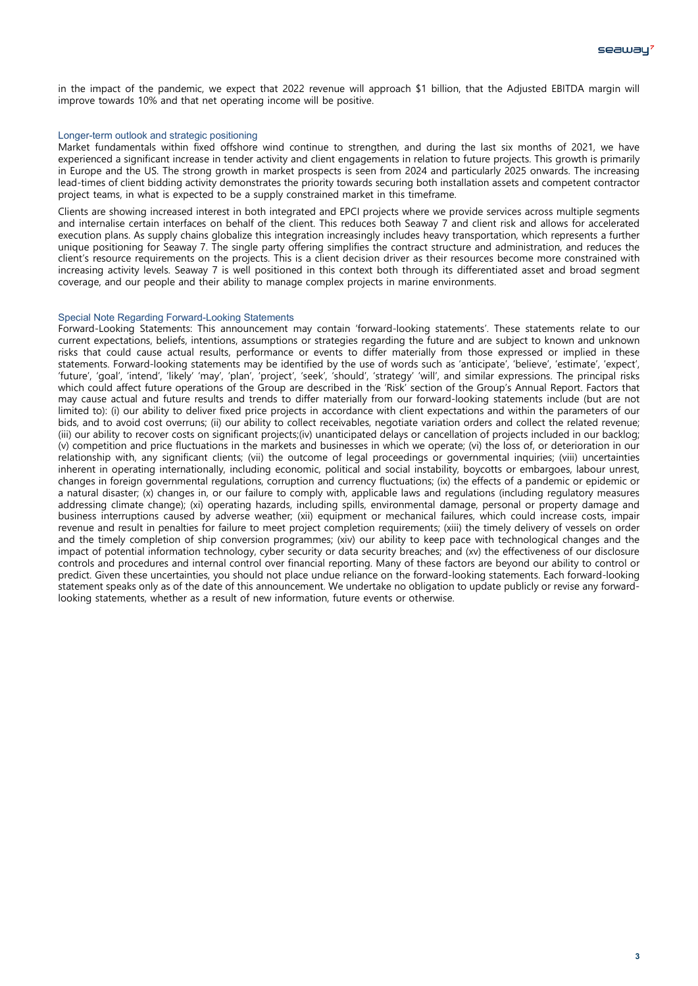in the impact of the pandemic, we expect that 2022 revenue will approach \$1 billion, that the Adjusted EBITDA margin will improve towards 10% and that net operating income will be positive.

## Longer-term outlook and strategic positioning

Market fundamentals within fixed offshore wind continue to strengthen, and during the last six months of 2021, we have experienced a significant increase in tender activity and client engagements in relation to future projects. This growth is primarily in Europe and the US. The strong growth in market prospects is seen from 2024 and particularly 2025 onwards. The increasing lead-times of client bidding activity demonstrates the priority towards securing both installation assets and competent contractor project teams, in what is expected to be a supply constrained market in this timeframe.

Clients are showing increased interest in both integrated and EPCI projects where we provide services across multiple segments and internalise certain interfaces on behalf of the client. This reduces both Seaway 7 and client risk and allows for accelerated execution plans. As supply chains globalize this integration increasingly includes heavy transportation, which represents a further unique positioning for Seaway 7. The single party offering simplifies the contract structure and administration, and reduces the client's resource requirements on the projects. This is a client decision driver as their resources become more constrained with increasing activity levels. Seaway 7 is well positioned in this context both through its differentiated asset and broad segment coverage, and our people and their ability to manage complex projects in marine environments.

# Special Note Regarding Forward-Looking Statements

Forward-Looking Statements: This announcement may contain 'forward-looking statements'. These statements relate to our current expectations, beliefs, intentions, assumptions or strategies regarding the future and are subject to known and unknown risks that could cause actual results, performance or events to differ materially from those expressed or implied in these statements. Forward-looking statements may be identified by the use of words such as 'anticipate', 'believe', 'estimate', 'expect', 'future', 'goal', 'intend', 'likely' 'may', 'plan', 'project', 'seek', 'should', 'strategy' 'will', and similar expressions. The principal risks which could affect future operations of the Group are described in the 'Risk' section of the Group's Annual Report. Factors that may cause actual and future results and trends to differ materially from our forward-looking statements include (but are not limited to): (i) our ability to deliver fixed price projects in accordance with client expectations and within the parameters of our bids, and to avoid cost overruns; (ii) our ability to collect receivables, negotiate variation orders and collect the related revenue; (iii) our ability to recover costs on significant projects;(iv) unanticipated delays or cancellation of projects included in our backlog; (v) competition and price fluctuations in the markets and businesses in which we operate; (vi) the loss of, or deterioration in our relationship with, any significant clients; (vii) the outcome of legal proceedings or governmental inquiries; (viii) uncertainties inherent in operating internationally, including economic, political and social instability, boycotts or embargoes, labour unrest, changes in foreign governmental regulations, corruption and currency fluctuations; (ix) the effects of a pandemic or epidemic or a natural disaster; (x) changes in, or our failure to comply with, applicable laws and regulations (including regulatory measures addressing climate change); (xi) operating hazards, including spills, environmental damage, personal or property damage and business interruptions caused by adverse weather; (xii) equipment or mechanical failures, which could increase costs, impair revenue and result in penalties for failure to meet project completion requirements; (xiii) the timely delivery of vessels on order and the timely completion of ship conversion programmes; (xiv) our ability to keep pace with technological changes and the impact of potential information technology, cyber security or data security breaches; and (xv) the effectiveness of our disclosure controls and procedures and internal control over financial reporting. Many of these factors are beyond our ability to control or predict. Given these uncertainties, you should not place undue reliance on the forward-looking statements. Each forward-looking statement speaks only as of the date of this announcement. We undertake no obligation to update publicly or revise any forwardlooking statements, whether as a result of new information, future events or otherwise.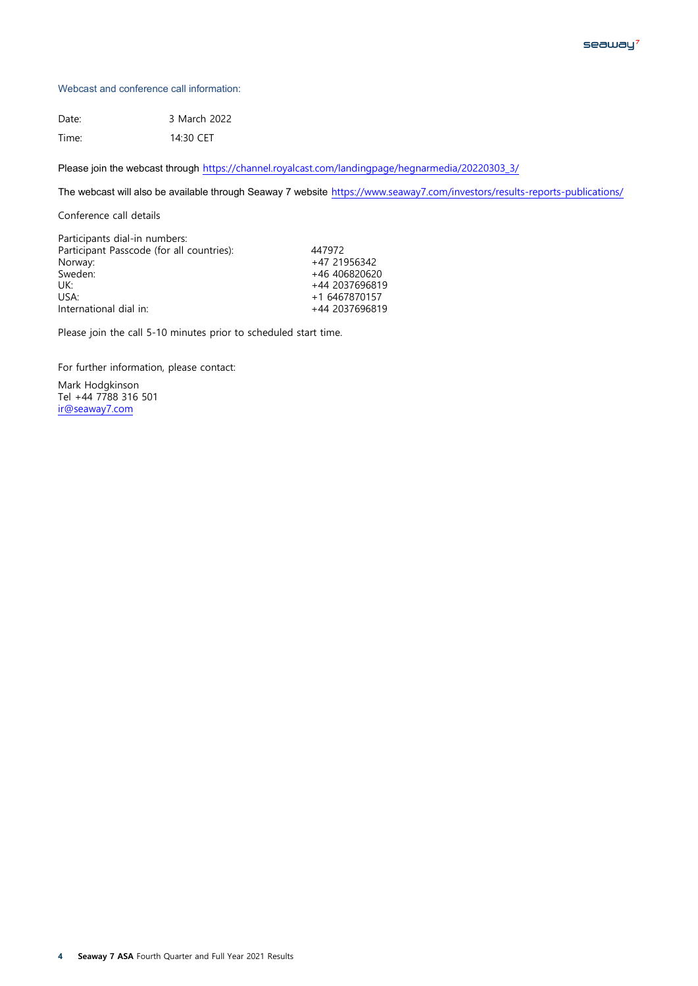# Webcast and conference call information:

Date: 3 March 2022 Time: 14:30 CET

Please join the webcast through [https://channel.royalcast.com/landingpage/hegnarmedia/20220303\\_3/](https://channel.royalcast.com/landingpage/hegnarmedia/20220303_3/)

The webcast will also be available through Seaway 7 website <https://www.seaway7.com/investors/results-reports-publications/>

Conference call details

| Participants dial-in numbers:             |                |
|-------------------------------------------|----------------|
| Participant Passcode (for all countries): | 447972         |
| Norway:                                   | +47 21956342   |
| Sweden:                                   | +46 406820620  |
| UK:                                       | +44 2037696819 |
| USA:                                      | +1 6467870157  |
| International dial in:                    | +44 2037696819 |
|                                           |                |

Please join the call 5-10 minutes prior to scheduled start time.

For further information, please contact:

Mark Hodgkinson Tel +44 7788 316 501 [ir@seaway7.com](mailto:ir@seaway7.com)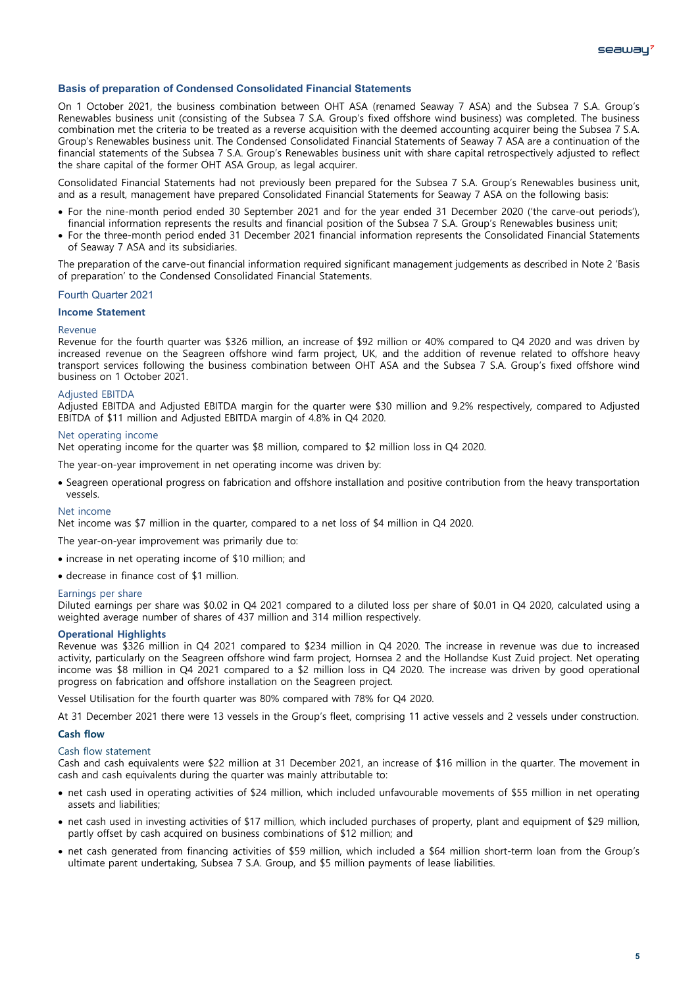# **Basis of preparation of Condensed Consolidated Financial Statements**

On 1 October 2021, the business combination between OHT ASA (renamed Seaway 7 ASA) and the Subsea 7 S.A. Group's Renewables business unit (consisting of the Subsea 7 S.A. Group's fixed offshore wind business) was completed. The business combination met the criteria to be treated as a reverse acquisition with the deemed accounting acquirer being the Subsea 7 S.A. Group's Renewables business unit. The Condensed Consolidated Financial Statements of Seaway 7 ASA are a continuation of the financial statements of the Subsea 7 S.A. Group's Renewables business unit with share capital retrospectively adjusted to reflect the share capital of the former OHT ASA Group, as legal acquirer.

Consolidated Financial Statements had not previously been prepared for the Subsea 7 S.A. Group's Renewables business unit, and as a result, management have prepared Consolidated Financial Statements for Seaway 7 ASA on the following basis:

- For the nine-month period ended 30 September 2021 and for the year ended 31 December 2020 ('the carve-out periods'), financial information represents the results and financial position of the Subsea 7 S.A. Group's Renewables business unit;
- For the three-month period ended 31 December 2021 financial information represents the Consolidated Financial Statements of Seaway 7 ASA and its subsidiaries.

The preparation of the carve-out financial information required significant management judgements as described in Note 2 'Basis of preparation' to the Condensed Consolidated Financial Statements.

## Fourth Quarter 2021

# **Income Statement**

#### Revenue

Revenue for the fourth quarter was \$326 million, an increase of \$92 million or 40% compared to Q4 2020 and was driven by increased revenue on the Seagreen offshore wind farm project, UK, and the addition of revenue related to offshore heavy transport services following the business combination between OHT ASA and the Subsea 7 S.A. Group's fixed offshore wind business on 1 October 2021.

#### Adjusted EBITDA

Adjusted EBITDA and Adjusted EBITDA margin for the quarter were \$30 million and 9.2% respectively, compared to Adjusted EBITDA of \$11 million and Adjusted EBITDA margin of 4.8% in Q4 2020.

#### Net operating income

Net operating income for the quarter was \$8 million, compared to \$2 million loss in Q4 2020.

The year-on-year improvement in net operating income was driven by:

• Seagreen operational progress on fabrication and offshore installation and positive contribution from the heavy transportation vessels.

#### Net income

Net income was \$7 million in the quarter, compared to a net loss of \$4 million in Q4 2020.

The year-on-year improvement was primarily due to:

- increase in net operating income of \$10 million; and
- decrease in finance cost of \$1 million.

#### Earnings per share

Diluted earnings per share was \$0.02 in Q4 2021 compared to a diluted loss per share of \$0.01 in Q4 2020, calculated using a weighted average number of shares of 437 million and 314 million respectively.

## **Operational Highlights**

Revenue was \$326 million in Q4 2021 compared to \$234 million in Q4 2020. The increase in revenue was due to increased activity, particularly on the Seagreen offshore wind farm project, Hornsea 2 and the Hollandse Kust Zuid project. Net operating income was \$8 million in Q4 2021 compared to a \$2 million loss in Q4 2020. The increase was driven by good operational progress on fabrication and offshore installation on the Seagreen project.

Vessel Utilisation for the fourth quarter was 80% compared with 78% for Q4 2020.

At 31 December 2021 there were 13 vessels in the Group's fleet, comprising 11 active vessels and 2 vessels under construction.

#### **Cash flow**

## Cash flow statement

Cash and cash equivalents were \$22 million at 31 December 2021, an increase of \$16 million in the quarter. The movement in cash and cash equivalents during the quarter was mainly attributable to:

- net cash used in operating activities of \$24 million, which included unfavourable movements of \$55 million in net operating assets and liabilities;
- net cash used in investing activities of \$17 million, which included purchases of property, plant and equipment of \$29 million, partly offset by cash acquired on business combinations of \$12 million; and
- net cash generated from financing activities of \$59 million, which included a \$64 million short-term loan from the Group's ultimate parent undertaking, Subsea 7 S.A. Group, and \$5 million payments of lease liabilities.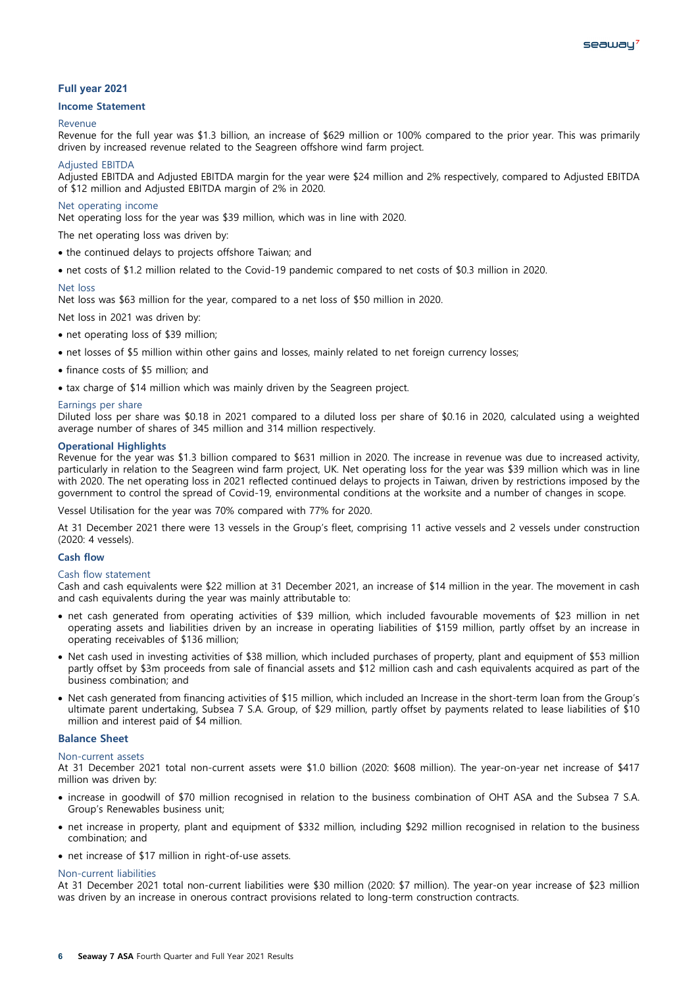# **Full year 2021**

## **Income Statement**

#### Revenue

Revenue for the full year was \$1.3 billion, an increase of \$629 million or 100% compared to the prior year. This was primarily driven by increased revenue related to the Seagreen offshore wind farm project.

#### Adjusted EBITDA

Adjusted EBITDA and Adjusted EBITDA margin for the year were \$24 million and 2% respectively, compared to Adjusted EBITDA of \$12 million and Adjusted EBITDA margin of 2% in 2020.

#### Net operating income

Net operating loss for the year was \$39 million, which was in line with 2020.

The net operating loss was driven by:

- the continued delays to projects offshore Taiwan; and
- net costs of \$1.2 million related to the Covid-19 pandemic compared to net costs of \$0.3 million in 2020.

#### Net loss

Net loss was \$63 million for the year, compared to a net loss of \$50 million in 2020.

Net loss in 2021 was driven by:

- net operating loss of \$39 million;
- net losses of \$5 million within other gains and losses, mainly related to net foreign currency losses;
- finance costs of \$5 million; and
- tax charge of \$14 million which was mainly driven by the Seagreen project.

## Diluted loss per share was \$0.18 in 2021 compared to a diluted loss per share of \$0.16 in 2020, calculated using a weighted average number of shares of 345 million and 314 million respectively.

Earnings per share

#### **Operational Highlights**

Revenue for the year was \$1.3 billion compared to \$631 million in 2020. The increase in revenue was due to increased activity, particularly in relation to the Seagreen wind farm project, UK. Net operating loss for the year was \$39 million which was in line with 2020. The net operating loss in 2021 reflected continued delays to projects in Taiwan, driven by restrictions imposed by the government to control the spread of Covid-19, environmental conditions at the worksite and a number of changes in scope.

Vessel Utilisation for the year was 70% compared with 77% for 2020.

At 31 December 2021 there were 13 vessels in the Group's fleet, comprising 11 active vessels and 2 vessels under construction (2020: 4 vessels).

#### **Cash flow**

#### Cash flow statement

Cash and cash equivalents were \$22 million at 31 December 2021, an increase of \$14 million in the year. The movement in cash and cash equivalents during the year was mainly attributable to:

- net cash generated from operating activities of \$39 million, which included favourable movements of \$23 million in net operating assets and liabilities driven by an increase in operating liabilities of \$159 million, partly offset by an increase in operating receivables of \$136 million;
- Net cash used in investing activities of \$38 million, which included purchases of property, plant and equipment of \$53 million partly offset by \$3m proceeds from sale of financial assets and \$12 million cash and cash equivalents acquired as part of the business combination; and
- Net cash generated from financing activities of \$15 million, which included an Increase in the short-term loan from the Group's ultimate parent undertaking, Subsea 7 S.A. Group, of \$29 million, partly offset by payments related to lease liabilities of \$10 million and interest paid of \$4 million.

# **Balance Sheet**

#### Non-current assets

At 31 December 2021 total non-current assets were \$1.0 billion (2020: \$608 million). The year-on-year net increase of \$417 million was driven by:

- increase in goodwill of \$70 million recognised in relation to the business combination of OHT ASA and the Subsea 7 S.A. Group's Renewables business unit;
- net increase in property, plant and equipment of \$332 million, including \$292 million recognised in relation to the business combination; and
- net increase of \$17 million in right-of-use assets.

#### Non-current liabilities

At 31 December 2021 total non-current liabilities were \$30 million (2020: \$7 million). The year-on year increase of \$23 million was driven by an increase in onerous contract provisions related to long-term construction contracts.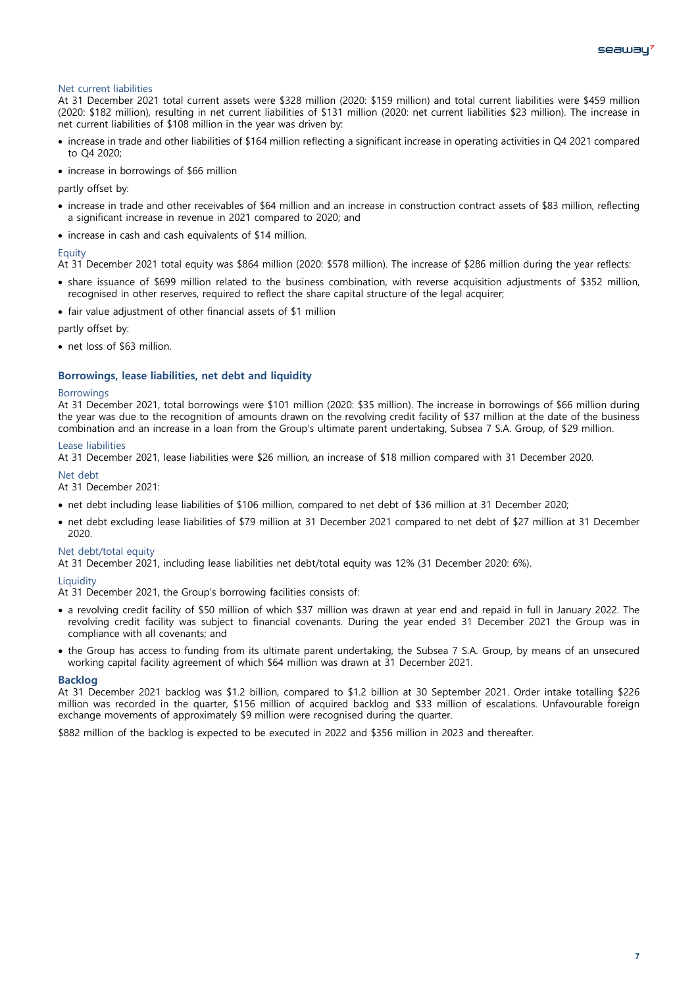# Net current liabilities

At 31 December 2021 total current assets were \$328 million (2020: \$159 million) and total current liabilities were \$459 million (2020: \$182 million), resulting in net current liabilities of \$131 million (2020: net current liabilities \$23 million). The increase in net current liabilities of \$108 million in the year was driven by:

- increase in trade and other liabilities of \$164 million reflecting a significant increase in operating activities in Q4 2021 compared to Q4 2020;
- increase in borrowings of \$66 million

partly offset by:

- increase in trade and other receivables of \$64 million and an increase in construction contract assets of \$83 million, reflecting a significant increase in revenue in 2021 compared to 2020; and
- increase in cash and cash equivalents of \$14 million.

#### Equity

At 31 December 2021 total equity was \$864 million (2020: \$578 million). The increase of \$286 million during the year reflects:

- share issuance of \$699 million related to the business combination, with reverse acquisition adjustments of \$352 million, recognised in other reserves, required to reflect the share capital structure of the legal acquirer;
- fair value adjustment of other financial assets of \$1 million

partly offset by:

• net loss of \$63 million.

## **Borrowings, lease liabilities, net debt and liquidity**

#### Borrowings

At 31 December 2021, total borrowings were \$101 million (2020: \$35 million). The increase in borrowings of \$66 million during the year was due to the recognition of amounts drawn on the revolving credit facility of \$37 million at the date of the business combination and an increase in a loan from the Group's ultimate parent undertaking, Subsea 7 S.A. Group, of \$29 million.

#### Lease liabilities

At 31 December 2021, lease liabilities were \$26 million, an increase of \$18 million compared with 31 December 2020.

Net debt

At 31 December 2021:

- net debt including lease liabilities of \$106 million, compared to net debt of \$36 million at 31 December 2020;
- net debt excluding lease liabilities of \$79 million at 31 December 2021 compared to net debt of \$27 million at 31 December 2020.

# Net debt/total equity

At 31 December 2021, including lease liabilities net debt/total equity was 12% (31 December 2020: 6%).

# **Liquidity**

At 31 December 2021, the Group's borrowing facilities consists of:

- a revolving credit facility of \$50 million of which \$37 million was drawn at year end and repaid in full in January 2022. The revolving credit facility was subject to financial covenants. During the year ended 31 December 2021 the Group was in compliance with all covenants; and
- the Group has access to funding from its ultimate parent undertaking, the Subsea 7 S.A. Group, by means of an unsecured working capital facility agreement of which \$64 million was drawn at 31 December 2021.

#### **Backlog**

At 31 December 2021 backlog was \$1.2 billion, compared to \$1.2 billion at 30 September 2021. Order intake totalling \$226 million was recorded in the quarter, \$156 million of acquired backlog and \$33 million of escalations. Unfavourable foreign exchange movements of approximately \$9 million were recognised during the quarter.

\$882 million of the backlog is expected to be executed in 2022 and \$356 million in 2023 and thereafter.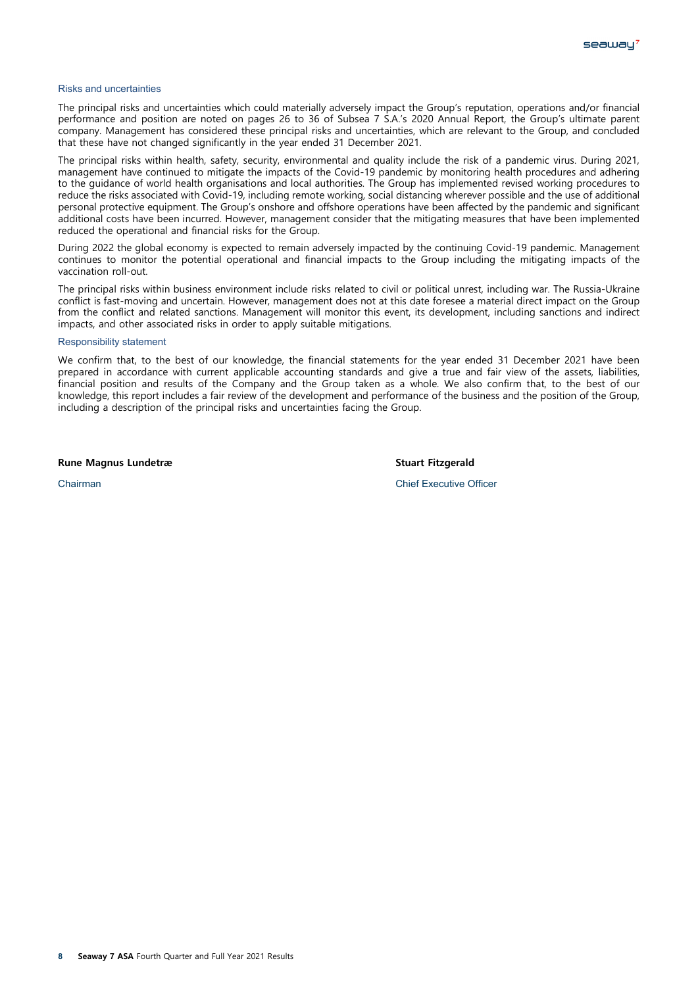#### Risks and uncertainties

The principal risks and uncertainties which could materially adversely impact the Group's reputation, operations and/or financial performance and position are noted on pages 26 to 36 of Subsea 7 S.A.'s 2020 Annual Report, the Group's ultimate parent company. Management has considered these principal risks and uncertainties, which are relevant to the Group, and concluded that these have not changed significantly in the year ended 31 December 2021.

The principal risks within health, safety, security, environmental and quality include the risk of a pandemic virus. During 2021, management have continued to mitigate the impacts of the Covid-19 pandemic by monitoring health procedures and adhering to the guidance of world health organisations and local authorities. The Group has implemented revised working procedures to reduce the risks associated with Covid-19, including remote working, social distancing wherever possible and the use of additional personal protective equipment. The Group's onshore and offshore operations have been affected by the pandemic and significant additional costs have been incurred. However, management consider that the mitigating measures that have been implemented reduced the operational and financial risks for the Group.

During 2022 the global economy is expected to remain adversely impacted by the continuing Covid-19 pandemic. Management continues to monitor the potential operational and financial impacts to the Group including the mitigating impacts of the vaccination roll-out.

The principal risks within business environment include risks related to civil or political unrest, including war. The Russia-Ukraine conflict is fast-moving and uncertain. However, management does not at this date foresee a material direct impact on the Group from the conflict and related sanctions. Management will monitor this event, its development, including sanctions and indirect impacts, and other associated risks in order to apply suitable mitigations.

#### Responsibility statement

We confirm that, to the best of our knowledge, the financial statements for the year ended 31 December 2021 have been prepared in accordance with current applicable accounting standards and give a true and fair view of the assets, liabilities, financial position and results of the Company and the Group taken as a whole. We also confirm that, to the best of our knowledge, this report includes a fair review of the development and performance of the business and the position of the Group, including a description of the principal risks and uncertainties facing the Group.

**Rune Magnus Lundetræ Stuart Fitzgerald**

**Chairman** Chairman Chairman Chief Executive Officer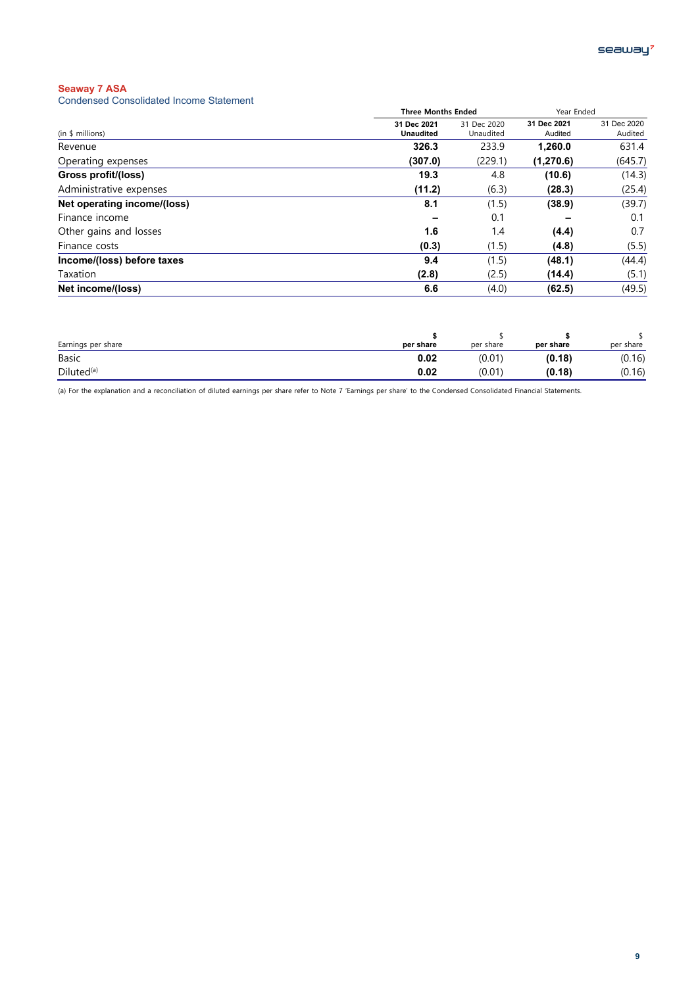Condensed Consolidated Income Statement

| <u>Condensed Consolidated income otalenient</u> |                                 |                          |                        |                        |
|-------------------------------------------------|---------------------------------|--------------------------|------------------------|------------------------|
|                                                 | <b>Three Months Ended</b>       |                          | Year Ended             |                        |
| (in \$ millions)                                | 31 Dec 2021<br><b>Unaudited</b> | 31 Dec 2020<br>Unaudited | 31 Dec 2021<br>Audited | 31 Dec 2020<br>Audited |
| Revenue                                         | 326.3                           | 233.9                    | 1,260.0                | 631.4                  |
| Operating expenses                              | (307.0)                         | (229.1)                  | (1, 270.6)             | (645.7)                |
| Gross profit/(loss)                             | 19.3                            | 4.8                      | (10.6)                 | (14.3)                 |
| Administrative expenses                         | (11.2)                          | (6.3)                    | (28.3)                 | (25.4)                 |
| Net operating income/(loss)                     | 8.1                             | (1.5)                    | (38.9)                 | (39.7)                 |
| Finance income                                  |                                 | 0.1                      |                        | 0.1                    |
| Other gains and losses                          | 1.6                             | 1.4                      | (4.4)                  | 0.7                    |
| Finance costs                                   | (0.3)                           | (1.5)                    | (4.8)                  | (5.5)                  |
| Income/(loss) before taxes                      | 9.4                             | (1.5)                    | (48.1)                 | (44.4)                 |
| Taxation                                        | (2.8)                           | (2.5)                    | (14.4)                 | (5.1)                  |
| Net income/(loss)                               | 6.6                             | (4.0)                    | (62.5)                 | (49.5)                 |
|                                                 |                                 |                          |                        |                        |

| Earnings per share     | per share | per share | per share | per share |
|------------------------|-----------|-----------|-----------|-----------|
| <b>Basic</b>           | 0.02      | (0.01)    | (0.18)    | (0.16)    |
| Diluted <sup>(a)</sup> | 0.02      | (0.01)    | (0.18)    | (0.16)    |

(a) For the explanation and a reconciliation of diluted earnings per share refer to Note 7 'Earnings per share' to the Condensed Consolidated Financial Statements.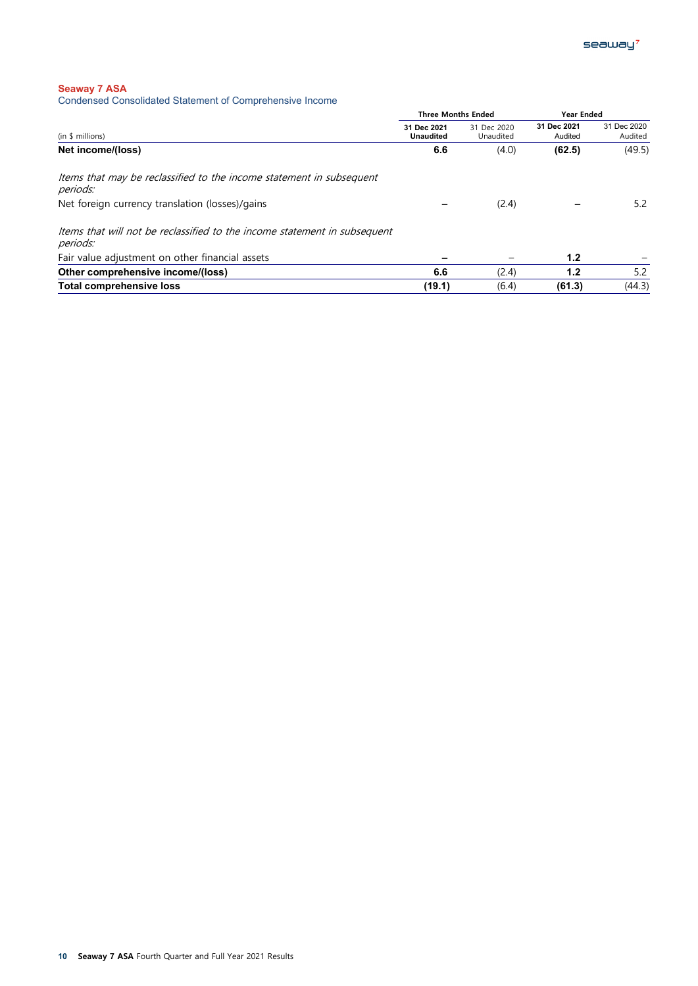Condensed Consolidated Statement of Comprehensive Income

|                                                                                       |                                 | <b>Three Months Ended</b> |                        | Year Ended             |  |
|---------------------------------------------------------------------------------------|---------------------------------|---------------------------|------------------------|------------------------|--|
| (in \$ millions)                                                                      | 31 Dec 2021<br><b>Unaudited</b> | 31 Dec 2020<br>Unaudited  | 31 Dec 2021<br>Audited | 31 Dec 2020<br>Audited |  |
| Net income/(loss)                                                                     | 6.6                             | (4.0)                     | (62.5)                 | (49.5)                 |  |
| Items that may be reclassified to the income statement in subsequent<br>periods:      |                                 |                           |                        |                        |  |
| Net foreign currency translation (losses)/gains                                       |                                 | (2.4)                     |                        | 5.2                    |  |
| Items that will not be reclassified to the income statement in subsequent<br>periods: |                                 |                           |                        |                        |  |
| Fair value adjustment on other financial assets                                       |                                 |                           | 1.2                    |                        |  |
| Other comprehensive income/(loss)                                                     | 6.6                             | (2.4)                     | 1.2                    | 5.2                    |  |
| <b>Total comprehensive loss</b>                                                       | (19.1)                          | (6.4)                     | (61.3)                 | (44.3)                 |  |
|                                                                                       |                                 |                           |                        |                        |  |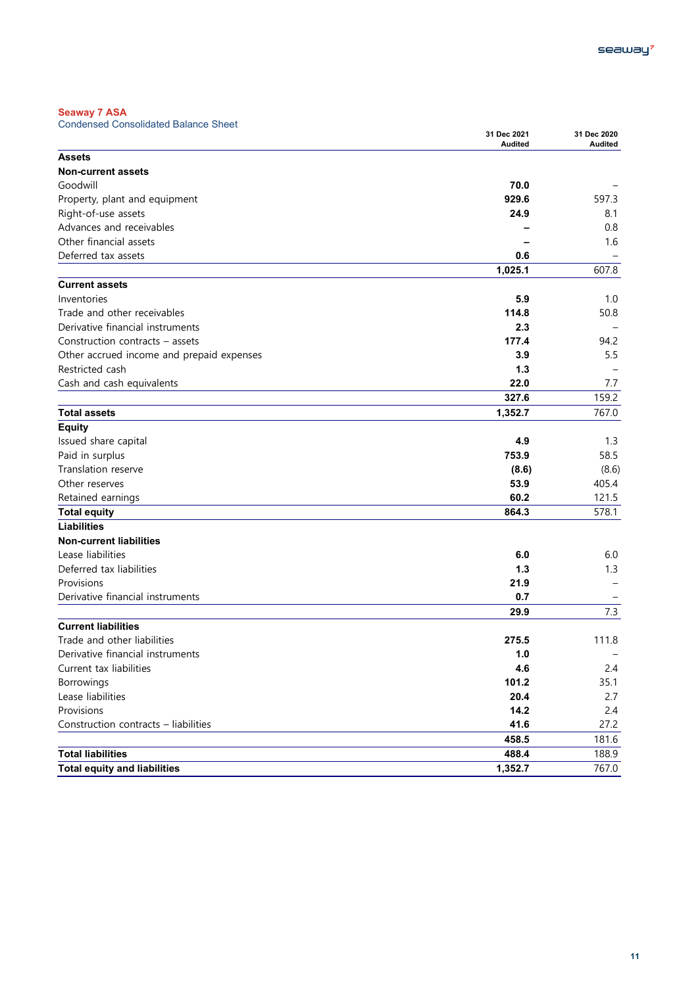Condensed Consolidated Balance Sheet

| Condensed Consolidated Dalarice Street    | 31 Dec 2021<br><b>Audited</b> | 31 Dec 2020<br>Audited |
|-------------------------------------------|-------------------------------|------------------------|
| <b>Assets</b>                             |                               |                        |
| <b>Non-current assets</b>                 |                               |                        |
| Goodwill                                  | 70.0                          |                        |
| Property, plant and equipment             | 929.6                         | 597.3                  |
| Right-of-use assets                       | 24.9                          | 8.1                    |
| Advances and receivables                  |                               | 0.8                    |
| Other financial assets                    |                               | 1.6                    |
| Deferred tax assets                       | 0.6                           |                        |
|                                           | 1,025.1                       | 607.8                  |
| <b>Current assets</b>                     |                               |                        |
| Inventories                               | 5.9                           | 1.0                    |
| Trade and other receivables               | 114.8                         | 50.8                   |
| Derivative financial instruments          | 2.3                           |                        |
| Construction contracts - assets           | 177.4                         | 94.2                   |
| Other accrued income and prepaid expenses | 3.9                           | 5.5                    |
| Restricted cash                           | 1.3                           |                        |
| Cash and cash equivalents                 | 22.0                          | 7.7                    |
|                                           | 327.6                         | 159.2                  |
| <b>Total assets</b>                       | 1,352.7                       | 767.0                  |
| <b>Equity</b>                             |                               |                        |
| Issued share capital                      | 4.9                           | 1.3                    |
| Paid in surplus                           | 753.9                         | 58.5                   |
| Translation reserve                       | (8.6)                         | (8.6)                  |
| Other reserves                            | 53.9                          | 405.4                  |
| Retained earnings                         | 60.2                          | 121.5                  |
| <b>Total equity</b>                       | 864.3                         | 578.1                  |
| <b>Liabilities</b>                        |                               |                        |
| <b>Non-current liabilities</b>            |                               |                        |
| Lease liabilities                         | 6.0                           | 6.0                    |
| Deferred tax liabilities                  | 1.3                           | 1.3                    |
| Provisions                                | 21.9                          |                        |
| Derivative financial instruments          | 0.7                           |                        |
|                                           | 29.9                          | 7.3                    |
| <b>Current liabilities</b>                |                               |                        |
| Trade and other liabilities               | 275.5                         | 111.8                  |
| Derivative financial instruments          | 1.0                           |                        |
| Current tax liabilities                   | 4.6                           | 2.4                    |
| Borrowings                                | 101.2                         | 35.1                   |
| Lease liabilities                         | 20.4                          | 2.7                    |
| Provisions                                | 14.2                          | 2.4                    |
| Construction contracts - liabilities      | 41.6                          | 27.2                   |
|                                           | 458.5                         | 181.6                  |
| <b>Total liabilities</b>                  | 488.4                         | 188.9                  |
| <b>Total equity and liabilities</b>       | 1,352.7                       | 767.0                  |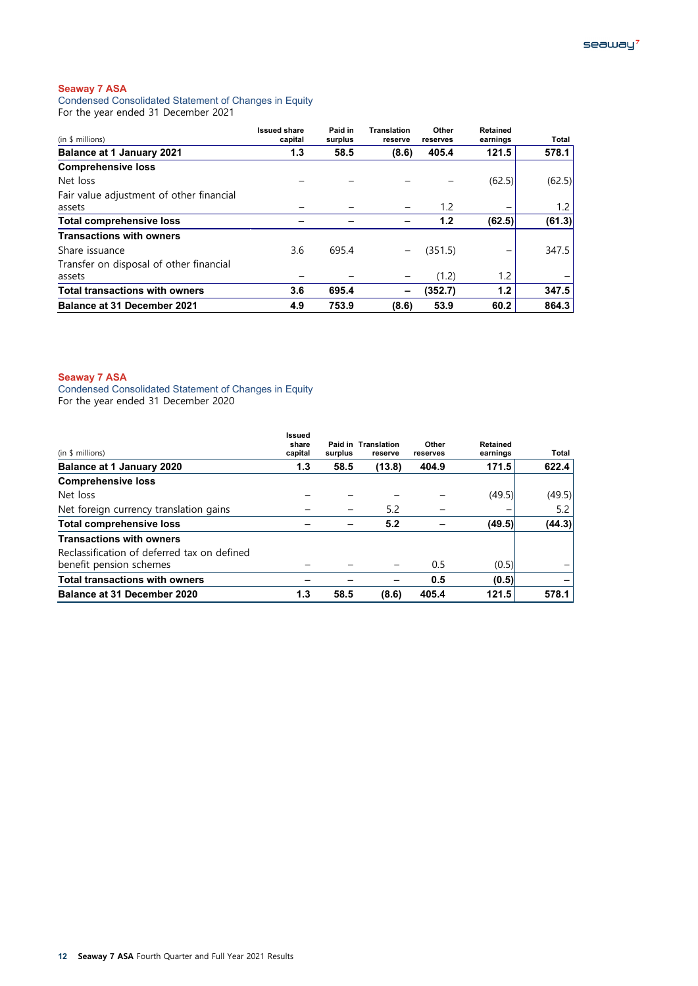Condensed Consolidated Statement of Changes in Equity For the year ended 31 December 2021

| (in \$ millions)                         | <b>Issued share</b><br>capital | Paid in<br>surplus | <b>Translation</b><br>reserve | Other<br>reserves | <b>Retained</b><br>earnings | Total  |
|------------------------------------------|--------------------------------|--------------------|-------------------------------|-------------------|-----------------------------|--------|
| <b>Balance at 1 January 2021</b>         | 1.3                            | 58.5               | (8.6)                         | 405.4             | 121.5                       | 578.1  |
| <b>Comprehensive loss</b>                |                                |                    |                               |                   |                             |        |
| Net loss                                 |                                |                    |                               |                   | (62.5)                      | (62.5) |
| Fair value adjustment of other financial |                                |                    |                               |                   |                             |        |
| assets                                   |                                |                    |                               | 1.2               |                             | 1.2    |
| <b>Total comprehensive loss</b>          |                                |                    |                               | 1.2               | (62.5)                      | (61.3) |
| <b>Transactions with owners</b>          |                                |                    |                               |                   |                             |        |
| Share issuance                           | 3.6                            | 695.4              | -                             | (351.5)           |                             | 347.5  |
| Transfer on disposal of other financial  |                                |                    |                               |                   |                             |        |
| assets                                   |                                |                    | $\qquad \qquad -$             | (1.2)             | 1.2                         |        |
| <b>Total transactions with owners</b>    | 3.6                            | 695.4              | -                             | (352.7)           | 1.2                         | 347.5  |
| <b>Balance at 31 December 2021</b>       | 4.9                            | 753.9              | (8.6)                         | 53.9              | 60.2                        | 864.3  |

# **Seaway 7 ASA**

Condensed Consolidated Statement of Changes in Equity For the year ended 31 December 2020

| <b>Balance at 31 December 2020</b>                                     | 1.3                               | 58.5    | (8.6)                          | 405.4             | 121.5                | 578.1  |
|------------------------------------------------------------------------|-----------------------------------|---------|--------------------------------|-------------------|----------------------|--------|
| <b>Total transactions with owners</b>                                  |                                   |         |                                | 0.5               | (0.5)                |        |
| Reclassification of deferred tax on defined<br>benefit pension schemes |                                   |         |                                | 0.5               | (0.5)                |        |
| <b>Transactions with owners</b>                                        |                                   |         |                                |                   |                      |        |
| <b>Total comprehensive loss</b>                                        |                                   |         | 5.2                            |                   | (49.5)               | (44.3) |
| Net foreign currency translation gains                                 |                                   |         | 5.2                            |                   |                      | 5.2    |
| Net loss                                                               |                                   |         |                                |                   | (49.5)               | (49.5) |
| <b>Comprehensive loss</b>                                              |                                   |         |                                |                   |                      |        |
| <b>Balance at 1 January 2020</b>                                       | 1.3                               | 58.5    | (13.8)                         | 404.9             | 171.5                | 622.4  |
| (in \$ millions)                                                       | <b>Issued</b><br>share<br>capital | surplus | Paid in Translation<br>reserve | Other<br>reserves | Retained<br>earnings | Total  |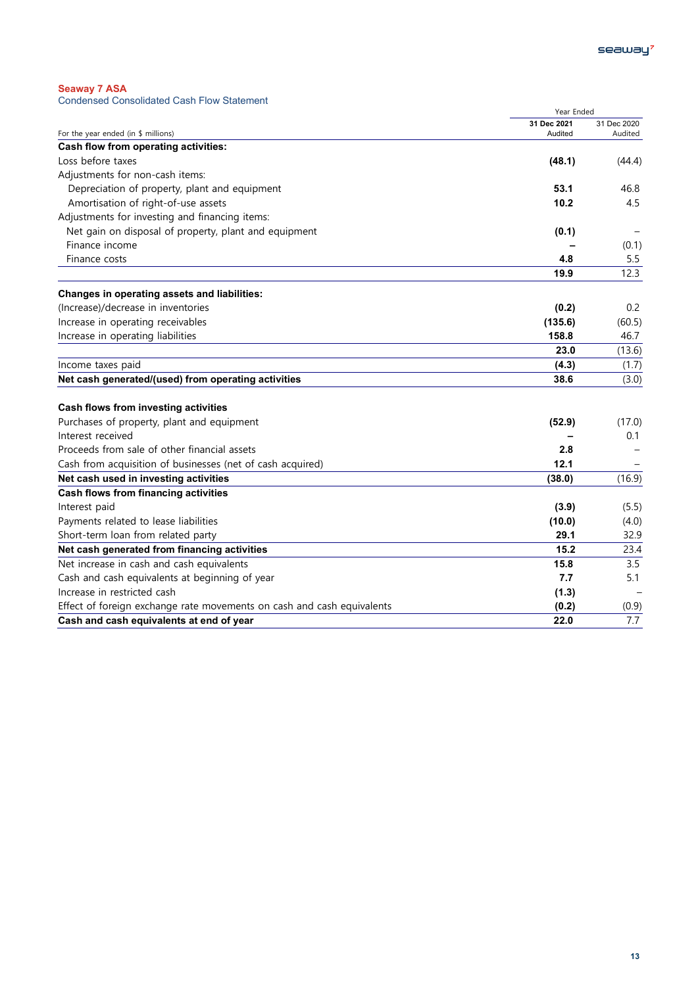| $\sim$ $\sim$ $\sim$ $\sim$ $\sim$ $\sim$ $\sim$ $\sim$ |                                                   |  |  |
|---------------------------------------------------------|---------------------------------------------------|--|--|
|                                                         | <b>Condensed Consolidated Cash Flow Statement</b> |  |  |

| Condensed Consolidated Cash Flow Olatenient                            | Year Ended  |             |
|------------------------------------------------------------------------|-------------|-------------|
|                                                                        | 31 Dec 2021 | 31 Dec 2020 |
| For the year ended (in \$ millions)                                    | Audited     | Audited     |
| Cash flow from operating activities:                                   |             |             |
| Loss before taxes                                                      | (48.1)      | (44.4)      |
| Adjustments for non-cash items:                                        |             |             |
| Depreciation of property, plant and equipment                          | 53.1        | 46.8        |
| Amortisation of right-of-use assets                                    | 10.2        | 4.5         |
| Adjustments for investing and financing items:                         |             |             |
| Net gain on disposal of property, plant and equipment                  | (0.1)       |             |
| Finance income                                                         |             | (0.1)       |
| Finance costs                                                          | 4.8         | 5.5         |
|                                                                        | 19.9        | 12.3        |
| Changes in operating assets and liabilities:                           |             |             |
| (Increase)/decrease in inventories                                     | (0.2)       | 0.2         |
| Increase in operating receivables                                      | (135.6)     | (60.5)      |
| Increase in operating liabilities                                      | 158.8       | 46.7        |
|                                                                        | 23.0        | (13.6)      |
| Income taxes paid                                                      | (4.3)       | (1.7)       |
| Net cash generated/(used) from operating activities                    | 38.6        | (3.0)       |
| Cash flows from investing activities                                   |             |             |
| Purchases of property, plant and equipment                             | (52.9)      | (17.0)      |
| Interest received                                                      |             | 0.1         |
| Proceeds from sale of other financial assets                           | 2.8         |             |
| Cash from acquisition of businesses (net of cash acquired)             | 12.1        |             |
| Net cash used in investing activities                                  | (38.0)      | (16.9)      |
| Cash flows from financing activities                                   |             |             |
| Interest paid                                                          | (3.9)       | (5.5)       |
| Payments related to lease liabilities                                  | (10.0)      | (4.0)       |
| Short-term loan from related party                                     | 29.1        | 32.9        |
| Net cash generated from financing activities                           | 15.2        | 23.4        |
| Net increase in cash and cash equivalents                              | 15.8        | 3.5         |
| Cash and cash equivalents at beginning of year                         | 7.7         | 5.1         |
| Increase in restricted cash                                            | (1.3)       |             |
| Effect of foreign exchange rate movements on cash and cash equivalents | (0.2)       | (0.9)       |
| Cash and cash equivalents at end of year                               | 22.0        | 7.7         |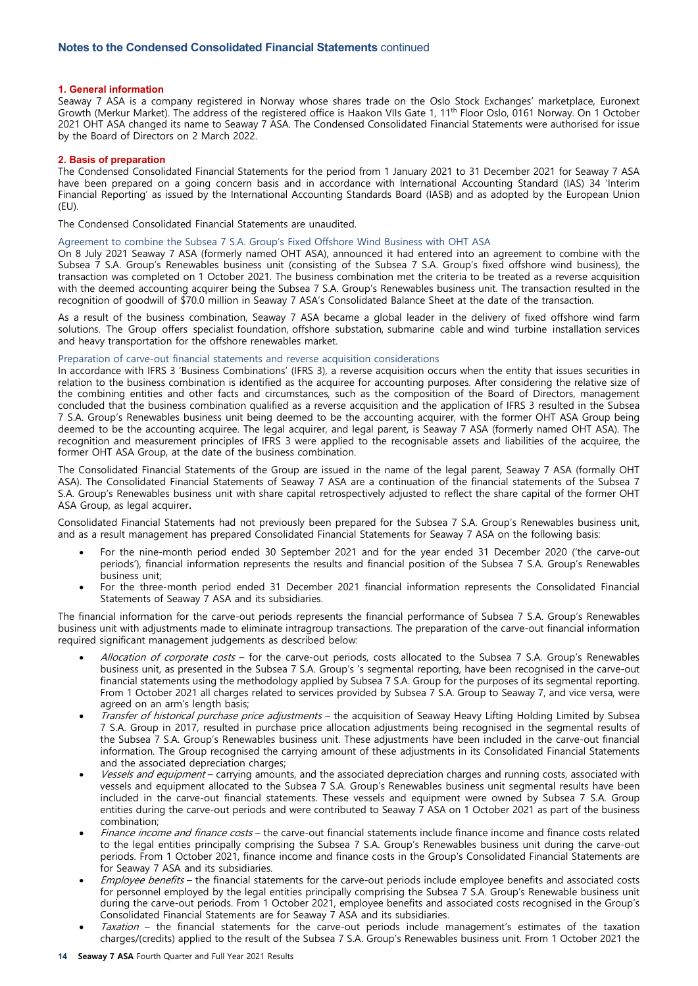## **1. General information**

Seaway 7 ASA is a company registered in Norway whose shares trade on the Oslo Stock Exchanges' marketplace, Euronext Growth (Merkur Market). The address of the registered office is Haakon VIIs Gate 1, 11th Floor Oslo, 0161 Norway. On 1 October 2021 OHT ASA changed its name to Seaway 7 ASA. The Condensed Consolidated Financial Statements were authorised for issue by the Board of Directors on 2 March 2022.

## **2. Basis of preparation**

The Condensed Consolidated Financial Statements for the period from 1 January 2021 to 31 December 2021 for Seaway 7 ASA have been prepared on a going concern basis and in accordance with International Accounting Standard (IAS) 34 'Interim Financial Reporting' as issued by the International Accounting Standards Board (IASB) and as adopted by the European Union  $(FU)$ .

The Condensed Consolidated Financial Statements are unaudited.

# Agreement to combine the Subsea 7 S.A. Group's Fixed Offshore Wind Business with OHT ASA

On 8 July 2021 Seaway 7 ASA (formerly named OHT ASA), announced it had entered into an agreement to combine with the Subsea 7 S.A. Group's Renewables business unit (consisting of the Subsea 7 S.A. Group's fixed offshore wind business), the transaction was completed on 1 October 2021. The business combination met the criteria to be treated as a reverse acquisition with the deemed accounting acquirer being the Subsea 7 S.A. Group's Renewables business unit. The transaction resulted in the recognition of goodwill of \$70.0 million in Seaway 7 ASA's Consolidated Balance Sheet at the date of the transaction.

As a result of the business combination, Seaway 7 ASA became a global leader in the delivery of fixed offshore wind farm solutions. The Group offers specialist [foundation,](https://www.seaway7.com/our-services/wtg-foundations/) [offshore substation,](https://www.seaway7.com/our-services/offshore-substations/) [submarine cable](https://www.seaway7.com/our-services/cable-laying-services/) and [wind turbine installation](https://www.seaway7.com/our-services/wind-turbine-generator-installation/) services and [heavy transportation](https://www.seaway7.com/our-services/heavy-transportation/) for the offshore renewables market.

## Preparation of carve-out financial statements and reverse acquisition considerations

In accordance with IFRS 3 'Business Combinations' (IFRS 3), a reverse acquisition occurs when the entity that issues securities in relation to the business combination is identified as the acquiree for accounting purposes. After considering the relative size of the combining entities and other facts and circumstances, such as the composition of the Board of Directors, management concluded that the business combination qualified as a reverse acquisition and the application of IFRS 3 resulted in the Subsea 7 S.A. Group's Renewables business unit being deemed to be the accounting acquirer, with the former OHT ASA Group being deemed to be the accounting acquiree. The legal acquirer, and legal parent, is Seaway 7 ASA (formerly named OHT ASA). The recognition and measurement principles of IFRS 3 were applied to the recognisable assets and liabilities of the acquiree, the former OHT ASA Group, at the date of the business combination.

The Consolidated Financial Statements of the Group are issued in the name of the legal parent, Seaway 7 ASA (formally OHT ASA). The Consolidated Financial Statements of Seaway 7 ASA are a continuation of the financial statements of the Subsea 7 S.A. Group's Renewables business unit with share capital retrospectively adjusted to reflect the share capital of the former OHT ASA Group, as legal acquirer.

Consolidated Financial Statements had not previously been prepared for the Subsea 7 S.A. Group's Renewables business unit, and as a result management has prepared Consolidated Financial Statements for Seaway 7 ASA on the following basis:

- For the nine-month period ended 30 September 2021 and for the year ended 31 December 2020 ('the carve-out periods'), financial information represents the results and financial position of the Subsea 7 S.A. Group's Renewables business unit;
- For the three-month period ended 31 December 2021 financial information represents the Consolidated Financial Statements of Seaway 7 ASA and its subsidiaries.

The financial information for the carve-out periods represents the financial performance of Subsea 7 S.A. Group's Renewables business unit with adjustments made to eliminate intragroup transactions. The preparation of the carve-out financial information required significant management judgements as described below:

- Allocation of corporate costs for the carve-out periods, costs allocated to the Subsea 7 S.A. Group's Renewables business unit, as presented in the Subsea 7 S.A. Group's 's segmental reporting, have been recognised in the carve-out financial statements using the methodology applied by Subsea 7 S.A. Group for the purposes of its segmental reporting. From 1 October 2021 all charges related to services provided by Subsea 7 S.A. Group to Seaway 7, and vice versa, were agreed on an arm's length basis;
- Transfer of historical purchase price adjustments the acquisition of Seaway Heavy Lifting Holding Limited by Subsea 7 S.A. Group in 2017, resulted in purchase price allocation adjustments being recognised in the segmental results of the Subsea 7 S.A. Group's Renewables business unit. These adjustments have been included in the carve-out financial information. The Group recognised the carrying amount of these adjustments in its Consolidated Financial Statements and the associated depreciation charges;
- Vessels and equipment carrying amounts, and the associated depreciation charges and running costs, associated with vessels and equipment allocated to the Subsea 7 S.A. Group's Renewables business unit segmental results have been included in the carve-out financial statements. These vessels and equipment were owned by Subsea 7 S.A. Group entities during the carve-out periods and were contributed to Seaway 7 ASA on 1 October 2021 as part of the business combination;
- Finance income and finance costs the carve-out financial statements include finance income and finance costs related to the legal entities principally comprising the Subsea 7 S.A. Group's Renewables business unit during the carve-out periods. From 1 October 2021, finance income and finance costs in the Group's Consolidated Financial Statements are for Seaway 7 ASA and its subsidiaries.
- Employee benefits the financial statements for the carve-out periods include employee benefits and associated costs for personnel employed by the legal entities principally comprising the Subsea 7 S.A. Group's Renewable business unit during the carve-out periods. From 1 October 2021, employee benefits and associated costs recognised in the Group's Consolidated Financial Statements are for Seaway 7 ASA and its subsidiaries.
- Taxation the financial statements for the carve-out periods include management's estimates of the taxation charges/(credits) applied to the result of the Subsea 7 S.A. Group's Renewables business unit. From 1 October 2021 the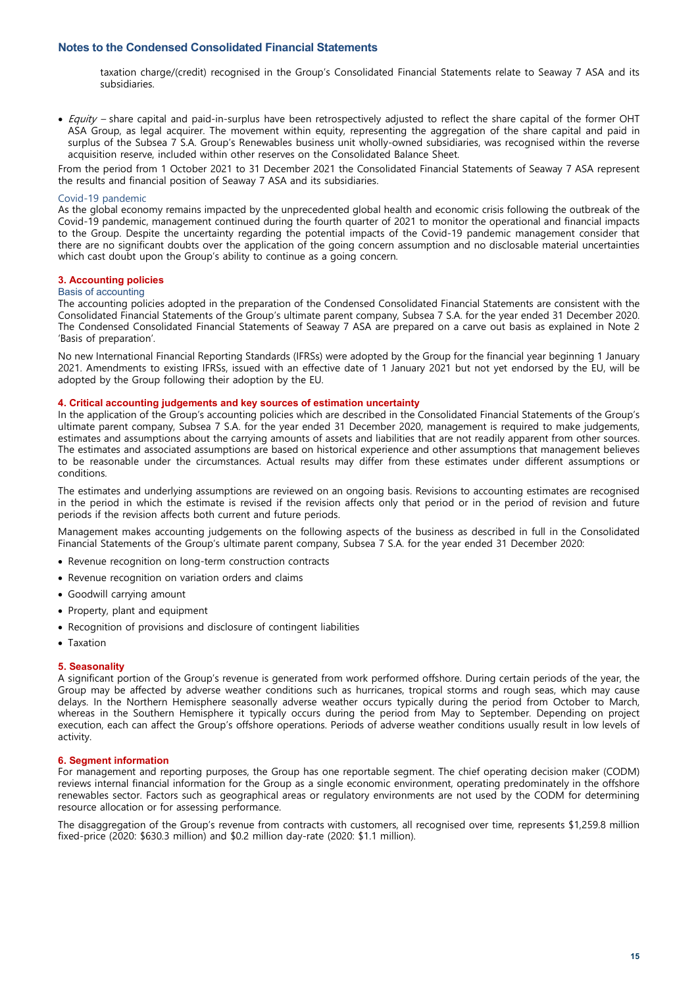# **Notes to the Condensed Consolidated Financial Statements**

taxation charge/(credit) recognised in the Group's Consolidated Financial Statements relate to Seaway 7 ASA and its subsidiaries.

• Equity - share capital and paid-in-surplus have been retrospectively adjusted to reflect the share capital of the former OHT ASA Group, as legal acquirer. The movement within equity, representing the aggregation of the share capital and paid in surplus of the Subsea 7 S.A. Group's Renewables business unit wholly-owned subsidiaries, was recognised within the reverse acquisition reserve, included within other reserves on the Consolidated Balance Sheet.

From the period from 1 October 2021 to 31 December 2021 the Consolidated Financial Statements of Seaway 7 ASA represent the results and financial position of Seaway 7 ASA and its subsidiaries.

## Covid-19 pandemic

As the global economy remains impacted by the unprecedented global health and economic crisis following the outbreak of the Covid-19 pandemic, management continued during the fourth quarter of 2021 to monitor the operational and financial impacts to the Group. Despite the uncertainty regarding the potential impacts of the Covid-19 pandemic management consider that there are no significant doubts over the application of the going concern assumption and no disclosable material uncertainties which cast doubt upon the Group's ability to continue as a going concern.

# **3. Accounting policies**

#### Basis of accounting

The accounting policies adopted in the preparation of the Condensed Consolidated Financial Statements are consistent with the Consolidated Financial Statements of the Group's ultimate parent company, Subsea 7 S.A. for the year ended 31 December 2020. The Condensed Consolidated Financial Statements of Seaway 7 ASA are prepared on a carve out basis as explained in Note 2 'Basis of preparation'.

No new International Financial Reporting Standards (IFRSs) were adopted by the Group for the financial year beginning 1 January 2021. Amendments to existing IFRSs, issued with an effective date of 1 January 2021 but not yet endorsed by the EU, will be adopted by the Group following their adoption by the EU.

## **4. Critical accounting judgements and key sources of estimation uncertainty**

In the application of the Group's accounting policies which are described in the Consolidated Financial Statements of the Group's ultimate parent company, Subsea 7 S.A. for the year ended 31 December 2020, management is required to make judgements, estimates and assumptions about the carrying amounts of assets and liabilities that are not readily apparent from other sources. The estimates and associated assumptions are based on historical experience and other assumptions that management believes to be reasonable under the circumstances. Actual results may differ from these estimates under different assumptions or conditions.

The estimates and underlying assumptions are reviewed on an ongoing basis. Revisions to accounting estimates are recognised in the period in which the estimate is revised if the revision affects only that period or in the period of revision and future periods if the revision affects both current and future periods.

Management makes accounting judgements on the following aspects of the business as described in full in the Consolidated Financial Statements of the Group's ultimate parent company, Subsea 7 S.A. for the year ended 31 December 2020:

- Revenue recognition on long-term construction contracts
- Revenue recognition on variation orders and claims
- Goodwill carrying amount
- Property, plant and equipment
- Recognition of provisions and disclosure of contingent liabilities
- Taxation

#### **5. Seasonality**

A significant portion of the Group's revenue is generated from work performed offshore. During certain periods of the year, the Group may be affected by adverse weather conditions such as hurricanes, tropical storms and rough seas, which may cause delays. In the Northern Hemisphere seasonally adverse weather occurs typically during the period from October to March, whereas in the Southern Hemisphere it typically occurs during the period from May to September. Depending on project execution, each can affect the Group's offshore operations. Periods of adverse weather conditions usually result in low levels of activity.

#### **6. Segment information**

For management and reporting purposes, the Group has one reportable segment. The chief operating decision maker (CODM) reviews internal financial information for the Group as a single economic environment, operating predominately in the offshore renewables sector. Factors such as geographical areas or regulatory environments are not used by the CODM for determining resource allocation or for assessing performance.

The disaggregation of the Group's revenue from contracts with customers, all recognised over time, represents \$1,259.8 million fixed-price (2020: \$630.3 million) and \$0.2 million day-rate (2020: \$1.1 million).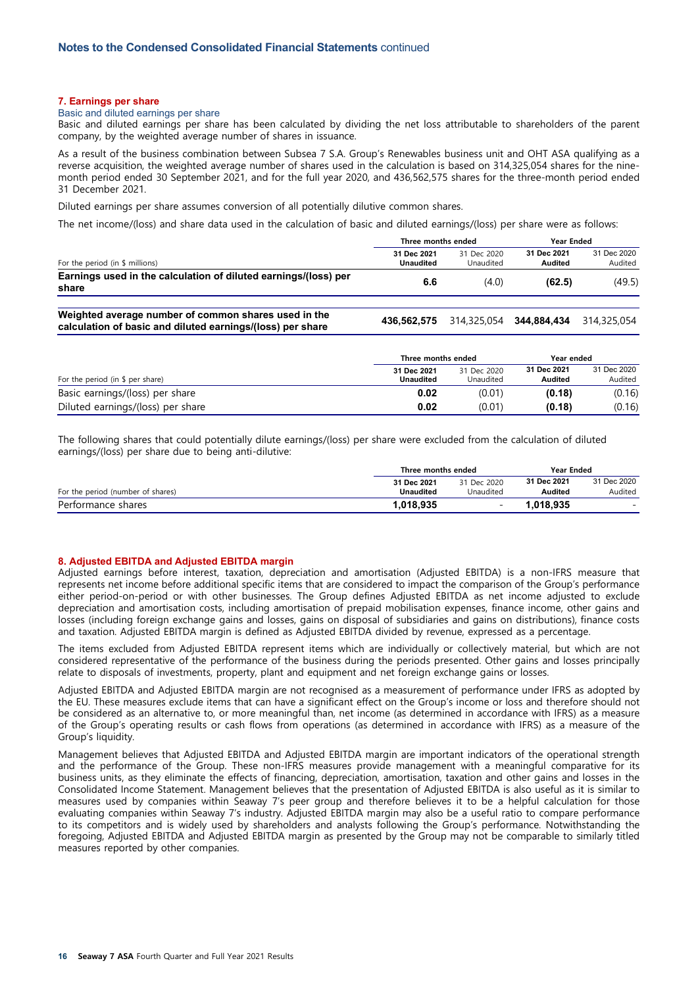## **7. Earnings per share**

#### Basic and diluted earnings per share

Basic and diluted earnings per share has been calculated by dividing the net loss attributable to shareholders of the parent company, by the weighted average number of shares in issuance.

As a result of the business combination between Subsea 7 S.A. Group's Renewables business unit and OHT ASA qualifying as a reverse acquisition, the weighted average number of shares used in the calculation is based on 314,325,054 shares for the ninemonth period ended 30 September 2021, and for the full year 2020, and 436,562,575 shares for the three-month period ended 31 December 2021.

Diluted earnings per share assumes conversion of all potentially dilutive common shares.

The net income/(loss) and share data used in the calculation of basic and diluted earnings/(loss) per share were as follows:

|                                                                                                                    | Three months ended              |                          | Year Ended              |                        |
|--------------------------------------------------------------------------------------------------------------------|---------------------------------|--------------------------|-------------------------|------------------------|
| For the period (in \$ millions)                                                                                    | 31 Dec 2021<br><b>Unaudited</b> | 31 Dec 2020<br>Unaudited | 31 Dec 2021<br>Audited  | 31 Dec 2020<br>Audited |
| Earnings used in the calculation of diluted earnings/(loss) per<br>share                                           | 6.6                             | (4.0)                    | (62.5)                  | (49.5)                 |
| Weighted average number of common shares used in the<br>calculation of basic and diluted earnings/(loss) per share | 436.562.575                     |                          | 314.325.054 344.884.434 | 314.325.054            |

|                                   | Three months ended              | Year ended               |                               |                        |
|-----------------------------------|---------------------------------|--------------------------|-------------------------------|------------------------|
| For the period (in $$$ per share) | 31 Dec 2021<br><b>Unaudited</b> | 31 Dec 2020<br>Unaudited | 31 Dec 2021<br><b>Audited</b> | 31 Dec 2020<br>Audited |
| Basic earnings/(loss) per share   | 0.02                            | (0.01)                   | (0.18)                        | (0.16)                 |
| Diluted earnings/(loss) per share | 0.02                            | (0.01)                   | (0.18)                        | (0.16)                 |

The following shares that could potentially dilute earnings/(loss) per share were excluded from the calculation of diluted earnings/(loss) per share due to being anti-dilutive:

|                                   |                                 | Three months ended<br>Year Ended |                        |                          |
|-----------------------------------|---------------------------------|----------------------------------|------------------------|--------------------------|
| For the period (number of shares) | 31 Dec 2021<br><b>Unaudited</b> | 31 Dec 2020<br>Unaudited         | 31 Dec 2021<br>Audited | 31 Dec 2020<br>Audited   |
| Performance shares                | 1,018,935                       |                                  | 1.018.935              | $\overline{\phantom{0}}$ |

#### **8. Adjusted EBITDA and Adjusted EBITDA margin**

Adjusted earnings before interest, taxation, depreciation and amortisation (Adjusted EBITDA) is a non-IFRS measure that represents net income before additional specific items that are considered to impact the comparison of the Group's performance either period-on-period or with other businesses. The Group defines Adjusted EBITDA as net income adjusted to exclude depreciation and amortisation costs, including amortisation of prepaid mobilisation expenses, finance income, other gains and losses (including foreign exchange gains and losses, gains on disposal of subsidiaries and gains on distributions), finance costs and taxation. Adjusted EBITDA margin is defined as Adjusted EBITDA divided by revenue, expressed as a percentage.

The items excluded from Adjusted EBITDA represent items which are individually or collectively material, but which are not considered representative of the performance of the business during the periods presented. Other gains and losses principally relate to disposals of investments, property, plant and equipment and net foreign exchange gains or losses.

Adjusted EBITDA and Adjusted EBITDA margin are not recognised as a measurement of performance under IFRS as adopted by the EU. These measures exclude items that can have a significant effect on the Group's income or loss and therefore should not be considered as an alternative to, or more meaningful than, net income (as determined in accordance with IFRS) as a measure of the Group's operating results or cash flows from operations (as determined in accordance with IFRS) as a measure of the Group's liquidity.

Management believes that Adjusted EBITDA and Adjusted EBITDA margin are important indicators of the operational strength and the performance of the Group. These non-IFRS measures provide management with a meaningful comparative for its business units, as they eliminate the effects of financing, depreciation, amortisation, taxation and other gains and losses in the Consolidated Income Statement. Management believes that the presentation of Adjusted EBITDA is also useful as it is similar to measures used by companies within Seaway 7's peer group and therefore believes it to be a helpful calculation for those evaluating companies within Seaway 7's industry. Adjusted EBITDA margin may also be a useful ratio to compare performance to its competitors and is widely used by shareholders and analysts following the Group's performance. Notwithstanding the foregoing, Adjusted EBITDA and Adjusted EBITDA margin as presented by the Group may not be comparable to similarly titled measures reported by other companies.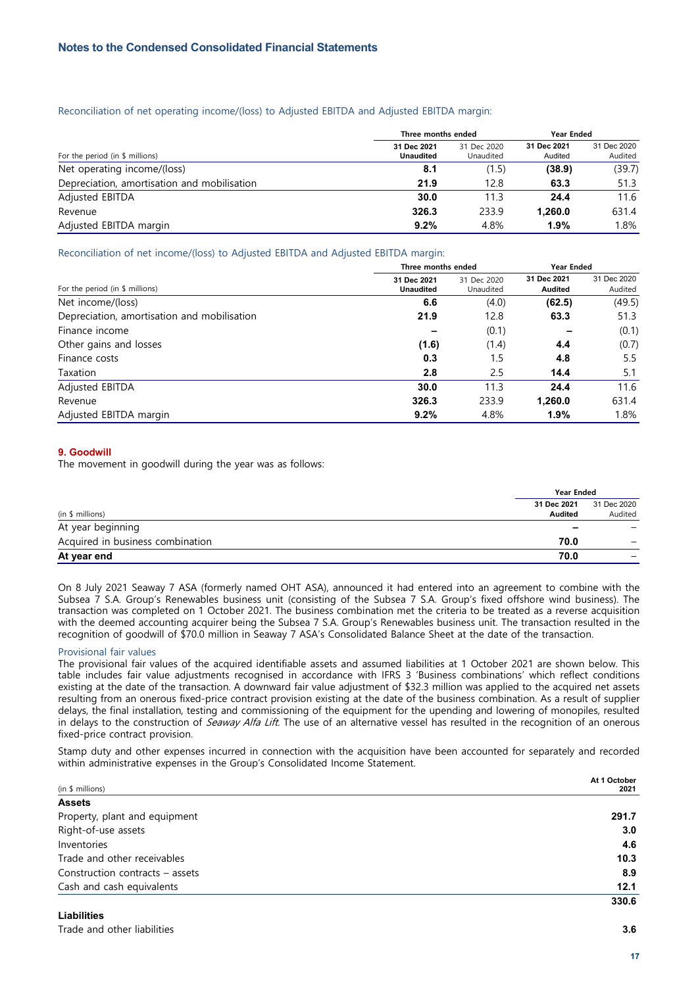# Reconciliation of net operating income/(loss) to Adjusted EBITDA and Adjusted EBITDA margin:

|                                             | Three months ended              |                          | Year Ended             |                        |
|---------------------------------------------|---------------------------------|--------------------------|------------------------|------------------------|
| For the period (in $$$ millions)            | 31 Dec 2021<br><b>Unaudited</b> | 31 Dec 2020<br>Unaudited | 31 Dec 2021<br>Audited | 31 Dec 2020<br>Audited |
| Net operating income/(loss)                 | 8.1                             | (1.5)                    | (38.9)                 | (39.7)                 |
| Depreciation, amortisation and mobilisation | 21.9                            | 12.8                     | 63.3                   | 51.3                   |
| Adjusted EBITDA                             | 30.0                            | 11.3                     | 24.4                   | 11.6                   |
| Revenue                                     | 326.3                           | 233.9                    | 1,260.0                | 631.4                  |
| Adjusted EBITDA margin                      | 9.2%                            | 4.8%                     | 1.9%                   | 1.8%                   |

# Reconciliation of net income/(loss) to Adjusted EBITDA and Adjusted EBITDA margin:

|                                             | Three months ended              | <b>Year Ended</b>        |                        |                        |
|---------------------------------------------|---------------------------------|--------------------------|------------------------|------------------------|
| For the period (in $$$ millions)            | 31 Dec 2021<br><b>Unaudited</b> | 31 Dec 2020<br>Unaudited | 31 Dec 2021<br>Audited | 31 Dec 2020<br>Audited |
| Net income/(loss)                           | 6.6                             | (4.0)                    | (62.5)                 | (49.5)                 |
| Depreciation, amortisation and mobilisation | 21.9                            | 12.8                     | 63.3                   | 51.3                   |
| Finance income                              |                                 | (0.1)                    |                        | (0.1)                  |
| Other gains and losses                      | (1.6)                           | (1.4)                    | 4.4                    | (0.7)                  |
| Finance costs                               | 0.3                             | 1.5                      | 4.8                    | 5.5                    |
| Taxation                                    | 2.8                             | 2.5                      | 14.4                   | 5.1                    |
| Adjusted EBITDA                             | 30.0                            | 11.3                     | 24.4                   | 11.6                   |
| Revenue                                     | 326.3                           | 233.9                    | 1,260.0                | 631.4                  |
| Adjusted EBITDA margin                      | 9.2%                            | 4.8%                     | 1.9%                   | 1.8%                   |

# **9. Goodwill**

The movement in goodwill during the year was as follows:

|                                  | <b>Year Ended</b> |             |
|----------------------------------|-------------------|-------------|
|                                  | 31 Dec 2021       | 31 Dec 2020 |
| (in \$ millions)                 | Audited           | Audited     |
| At year beginning                | -                 |             |
| Acquired in business combination | 70.0              |             |
| At year end                      | 70.0              |             |

On 8 July 2021 Seaway 7 ASA (formerly named OHT ASA), announced it had entered into an agreement to combine with the Subsea 7 S.A. Group's Renewables business unit (consisting of the Subsea 7 S.A. Group's fixed offshore wind business). The transaction was completed on 1 October 2021. The business combination met the criteria to be treated as a reverse acquisition with the deemed accounting acquirer being the Subsea 7 S.A. Group's Renewables business unit. The transaction resulted in the recognition of goodwill of \$70.0 million in Seaway 7 ASA's Consolidated Balance Sheet at the date of the transaction.

# Provisional fair values

The provisional fair values of the acquired identifiable assets and assumed liabilities at 1 October 2021 are shown below. This table includes fair value adjustments recognised in accordance with IFRS 3 'Business combinations' which reflect conditions existing at the date of the transaction. A downward fair value adjustment of \$32.3 million was applied to the acquired net assets resulting from an onerous fixed-price contract provision existing at the date of the business combination. As a result of supplier delays, the final installation, testing and commissioning of the equipment for the upending and lowering of monopiles, resulted in delays to the construction of Seaway Alfa Lift. The use of an alternative vessel has resulted in the recognition of an onerous fixed-price contract provision.

Stamp duty and other expenses incurred in connection with the acquisition have been accounted for separately and recorded within administrative expenses in the Group's Consolidated Income Statement.

|                                 | At 1 October |
|---------------------------------|--------------|
| (in \$ millions)                | 2021         |
| <b>Assets</b>                   |              |
| Property, plant and equipment   | 291.7        |
| Right-of-use assets             | 3.0          |
| Inventories                     | 4.6          |
| Trade and other receivables     | 10.3         |
| Construction contracts – assets | 8.9          |
| Cash and cash equivalents       | 12.1         |
|                                 | 330.6        |

# **Liabilities**

Trade and other liabilities **3.6**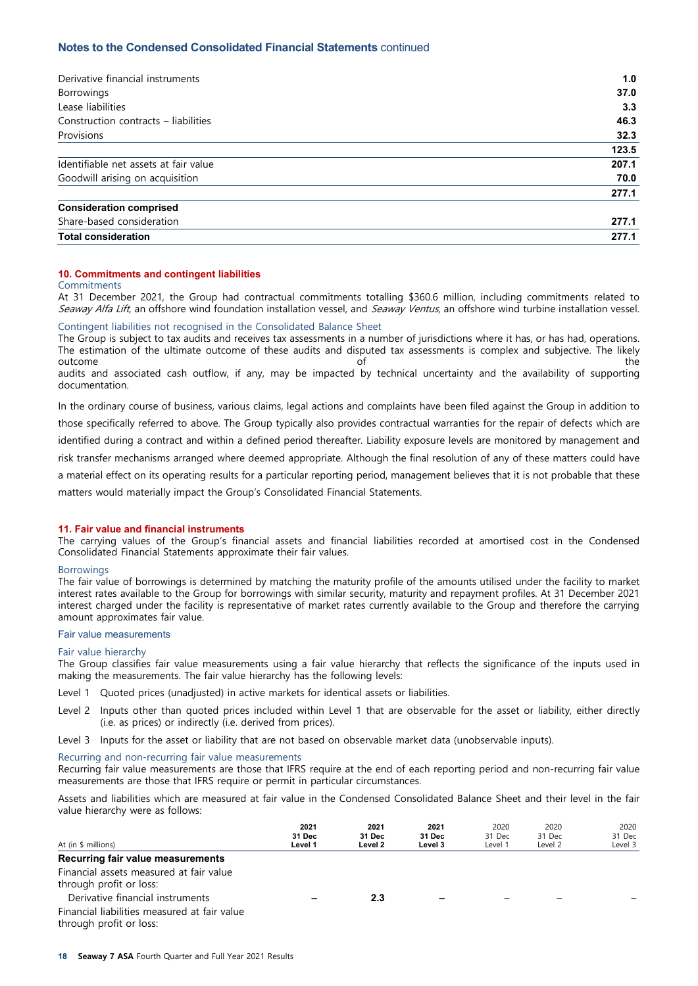# **Notes to the Condensed Consolidated Financial Statements** continued

| Derivative financial instruments      | 1.0   |
|---------------------------------------|-------|
| <b>Borrowings</b>                     | 37.0  |
| Lease liabilities                     | 3.3   |
| Construction contracts - liabilities  | 46.3  |
| Provisions                            | 32.3  |
|                                       | 123.5 |
| Identifiable net assets at fair value | 207.1 |
| Goodwill arising on acquisition       | 70.0  |
|                                       | 277.1 |
| <b>Consideration comprised</b>        |       |
| Share-based consideration             | 277.1 |
| <b>Total consideration</b>            | 277.1 |

## **10. Commitments and contingent liabilities**

#### Commitments

At 31 December 2021, the Group had contractual commitments totalling \$360.6 million, including commitments related to Seaway Alfa Lift, an offshore wind foundation installation vessel, and Seaway Ventus, an offshore wind turbine installation vessel.

# Contingent liabilities not recognised in the Consolidated Balance Sheet

The Group is subject to tax audits and receives tax assessments in a number of jurisdictions where it has, or has had, operations. The estimation of the ultimate outcome of these audits and disputed tax assessments is complex and subjective. The likely outcome the control of the control of the control of the control of the control of the control of the control of the control of the control of the control of the control of the control of the control of the control of the audits and associated cash outflow, if any, may be impacted by technical uncertainty and the availability of supporting documentation.

In the ordinary course of business, various claims, legal actions and complaints have been filed against the Group in addition to those specifically referred to above. The Group typically also provides contractual warranties for the repair of defects which are identified during a contract and within a defined period thereafter. Liability exposure levels are monitored by management and risk transfer mechanisms arranged where deemed appropriate. Although the final resolution of any of these matters could have a material effect on its operating results for a particular reporting period, management believes that it is not probable that these matters would materially impact the Group's Consolidated Financial Statements.

#### **11. Fair value and financial instruments**

The carrying values of the Group's financial assets and financial liabilities recorded at amortised cost in the Condensed Consolidated Financial Statements approximate their fair values.

#### **Borrowings**

The fair value of borrowings is determined by matching the maturity profile of the amounts utilised under the facility to market interest rates available to the Group for borrowings with similar security, maturity and repayment profiles. At 31 December 2021 interest charged under the facility is representative of market rates currently available to the Group and therefore the carrying amount approximates fair value.

#### Fair value measurements

#### Fair value hierarchy

The Group classifies fair value measurements using a fair value hierarchy that reflects the significance of the inputs used in making the measurements. The fair value hierarchy has the following levels:

- Level 1 Quoted prices (unadjusted) in active markets for identical assets or liabilities.
- Level 2 Inputs other than quoted prices included within Level 1 that are observable for the asset or liability, either directly (i.e. as prices) or indirectly (i.e. derived from prices).
- Level 3 Inputs for the asset or liability that are not based on observable market data (unobservable inputs).

#### Recurring and non-recurring fair value measurements

Recurring fair value measurements are those that IFRS require at the end of each reporting period and non-recurring fair value measurements are those that IFRS require or permit in particular circumstances.

Assets and liabilities which are measured at fair value in the Condensed Consolidated Balance Sheet and their level in the fair value hierarchy were as follows:

| At (in \$ millions)                                                     | 2021<br>31 Dec<br>Level 1 | 2021<br>31 Dec<br>Level 2 | 2021<br>31 Dec<br>Level 3 | 2020<br>31 Dec<br>Level 1 | 2020<br>31 Dec<br>Level 2 | 2020<br>31 Dec<br>Level 3 |
|-------------------------------------------------------------------------|---------------------------|---------------------------|---------------------------|---------------------------|---------------------------|---------------------------|
| Recurring fair value measurements                                       |                           |                           |                           |                           |                           |                           |
| Financial assets measured at fair value<br>through profit or loss:      |                           |                           |                           |                           |                           |                           |
| Derivative financial instruments                                        |                           | 2.3                       | -                         |                           |                           |                           |
| Financial liabilities measured at fair value<br>through profit or loss: |                           |                           |                           |                           |                           |                           |